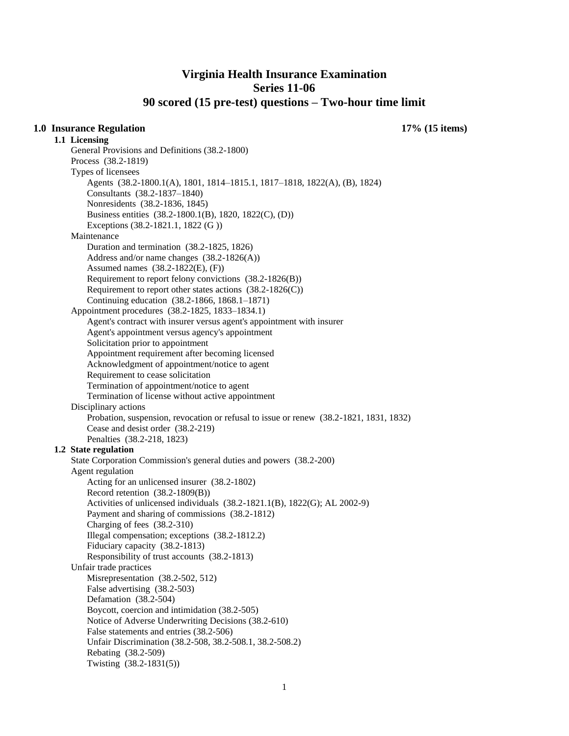# **Virginia Health Insurance Examination Series 11-06 90 scored (15 pre-test) questions – Two-hour time limit**

## **1.0 Insurance Regulation 17% (15 items)**

**1.1 Licensing**  General Provisions and Definitions (38.2-1800) Process (38.2-1819) Types of licensees Agents (38.2-1800.1(A), 1801, 1814–1815.1, 1817–1818, 1822(A), (B), 1824) Consultants (38.2-1837–1840) Nonresidents (38.2-1836, 1845) Business entities (38.2-1800.1(B), 1820, 1822(C), (D)) Exceptions (38.2-1821.1, 1822 (G )) Maintenance Duration and termination (38.2-1825, 1826) Address and/or name changes (38.2-1826(A)) Assumed names (38.2-1822(E), (F)) Requirement to report felony convictions (38.2-1826(B)) Requirement to report other states actions  $(38.2-1826(C))$ Continuing education (38.2-1866, 1868.1–1871) Appointment procedures (38.2-1825, 1833–1834.1) Agent's contract with insurer versus agent's appointment with insurer Agent's appointment versus agency's appointment Solicitation prior to appointment Appointment requirement after becoming licensed Acknowledgment of appointment/notice to agent Requirement to cease solicitation Termination of appointment/notice to agent Termination of license without active appointment Disciplinary actions Probation, suspension, revocation or refusal to issue or renew (38.2-1821, 1831, 1832) Cease and desist order (38.2-219) Penalties (38.2-218, 1823) **1.2 State regulation**  State Corporation Commission's general duties and powers (38.2-200) Agent regulation Acting for an unlicensed insurer (38.2-1802) Record retention (38.2-1809(B)) Activities of unlicensed individuals (38.2-1821.1(B), 1822(G); AL 2002-9) Payment and sharing of commissions (38.2-1812) Charging of fees (38.2-310) Illegal compensation; exceptions (38.2-1812.2) Fiduciary capacity (38.2-1813) Responsibility of trust accounts (38.2-1813) Unfair trade practices Misrepresentation (38.2-502, 512) False advertising (38.2-503) Defamation (38.2-504) Boycott, coercion and intimidation (38.2-505) Notice of Adverse Underwriting Decisions (38.2-610) False statements and entries (38.2-506) Unfair Discrimination (38.2-508, 38.2-508.1, 38.2-508.2) Rebating (38.2-509) Twisting (38.2-1831(5))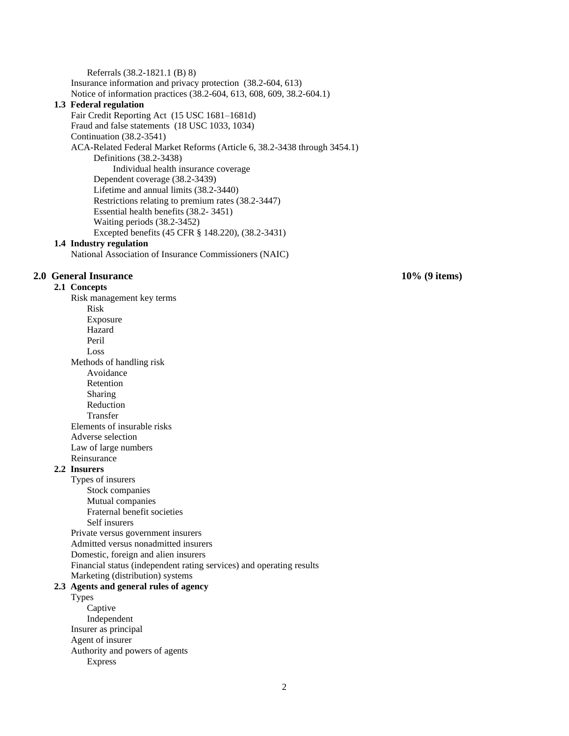Referrals (38.2-1821.1 (B) 8) Insurance information and privacy protection (38.2-604, 613) Notice of information practices (38.2-604, 613, 608, 609, 38.2-604.1) **1.3 Federal regulation**  Fair Credit Reporting Act (15 USC 1681–1681d) Fraud and false statements (18 USC 1033, 1034) Continuation (38.2-3541) ACA-Related Federal Market Reforms (Article 6, 38.2-3438 through 3454.1) Definitions (38.2-3438) Individual health insurance coverage Dependent coverage (38.2-3439) Lifetime and annual limits (38.2-3440) Restrictions relating to premium rates (38.2-3447) Essential health benefits (38.2- 3451) Waiting periods (38.2-3452) Excepted benefits (45 CFR § 148.220), (38.2-3431)

## **1.4 Industry regulation**

National Association of Insurance Commissioners (NAIC)

## **2.0 General Insurance 10% (9 items)**

**2.1 Concepts** 

Risk management key terms Risk Exposure Hazard Peril Loss Methods of handling risk Avoidance Retention Sharing Reduction Transfer Elements of insurable risks Adverse selection Law of large numbers Reinsurance

#### **2.2 Insurers**

Types of insurers Stock companies Mutual companies Fraternal benefit societies Self insurers Private versus government insurers Admitted versus nonadmitted insurers Domestic, foreign and alien insurers Financial status (independent rating services) and operating results Marketing (distribution) systems

## **2.3 Agents and general rules of agency**

Types Captive Independent Insurer as principal Agent of insurer Authority and powers of agents Express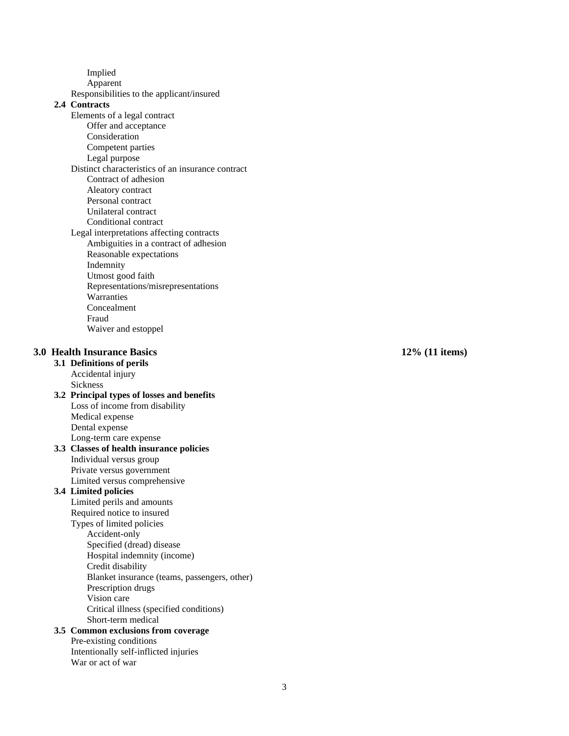Implied

Apparent

Responsibilities to the applicant/insured

# **2.4 Contracts**

- Elements of a legal contract
	- Offer and acceptance
	- Consideration
	- Competent parties
	- Legal purpose
- Distinct characteristics of an insurance contract Contract of adhesion
	- Aleatory contract
	- Personal contract
	- Unilateral contract
	- Conditional contract
- Legal interpretations affecting contracts Ambiguities in a contract of adhesion Reasonable expectations Indemnity
	- Utmost good faith Representations/misrepresentations
	- **Warranties** Concealment
	- Fraud
		- Waiver and estoppel

# **3.0 Health Insurance Basics 12**

- **3.1 Definitions of perils**  Accidental injury Sickness
- **3.2 Principal types of losses and benefits**  Loss of income from disability Medical expense Dental expense Long -term care expense

# **3.3 Classes of health insurance policies**  Individual versus group Private versus government

- Limited versus comprehensive **3.4 Limited policies** 
	- Limited perils and amounts Required notice to insured
	- Types of limited policies Accident -only
		- Specified (dread) disease
		- Hospital indemnity (income)
			-
			- Credit disability Blanket insurance (teams, passengers, other)
			- Prescription drugs
			- Vision care
			- Critical illness (specified conditions)
			- Short -term medical

# **3.5 Common exclusions from coverage**

Pre -existing conditions Intentionally self -inflicted injuries War or act of war

## **% (11 items)**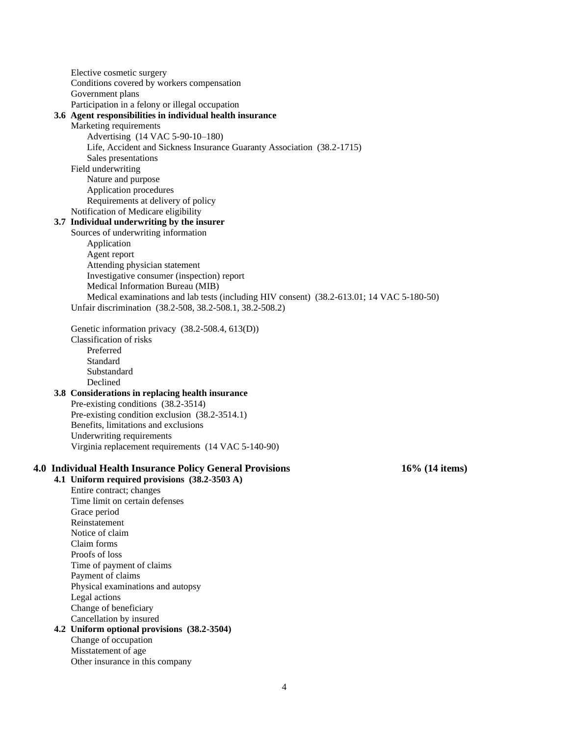Elective cosmetic surgery Conditions covered by workers compensation Government plans Participation in a felony or illegal occupation

#### **3.6 Agent responsibilities in individual health insurance**

Marketing requirements

Advertising (14 VAC 5-90-10–180)

- Life, Accident and Sickness Insurance Guaranty Association (38.2-1715)
- Sales presentations

# Field underwriting

Nature and purpose Application procedures Requirements at delivery of policy

Notification of Medicare eligibility

# **3.7 Individual underwriting by the insurer**

Sources of underwriting information Application Agent report Attending physician statement Investigative consumer (inspection) report Medical Information Bureau (MIB) Medical examinations and lab tests (including HIV consent) (38.2-613.01; 14 VAC 5-180-50) Unfair discrimination (38.2-508, 38.2-508.1, 38.2-508.2)

Genetic information privacy (38.2-508.4, 613(D)) Classification of risks Preferred Standard Substandard Declined

#### **3.8 Considerations in replacing health insurance**  Pre-existing conditions (38.2-3514)

Pre-existing condition exclusion (38.2-3514.1) Benefits, limitations and exclusions Underwriting requirements Virginia replacement requirements (14 VAC 5-140-90)

## **4.0 Individual Health Insurance Policy General Provisions 16% (14 items)**

**4.1 Uniform required provisions (38.2-3503 A)**

Entire contract; changes Time limit on certain defenses Grace period Reinstatement Notice of claim Claim forms Proofs of loss Time of payment of claims Payment of claims Physical examinations and autopsy Legal actions Change of beneficiary Cancellation by insured

#### **4.2 Uniform optional provisions (38.2-3504)** Change of occupation

Misstatement of age Other insurance in this company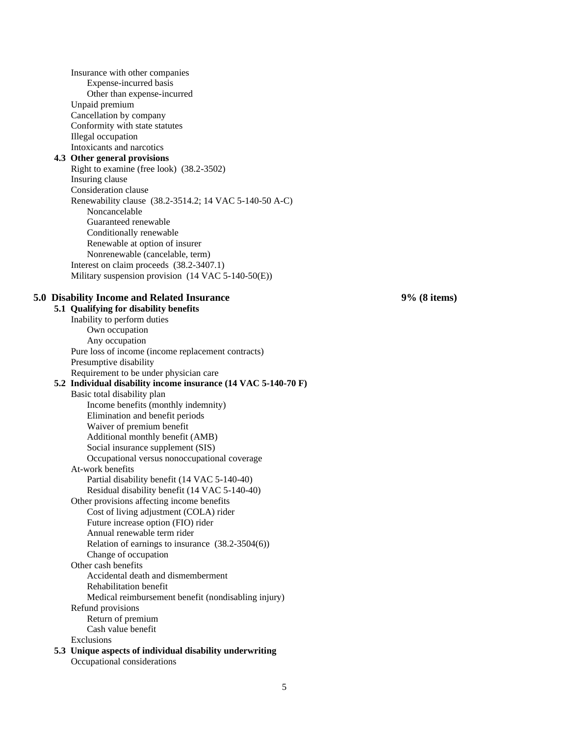Insurance with other companies Expense-incurred basis Other than expense-incurred Unpaid premium Cancellation by company Conformity with state statutes Illegal occupation Intoxicants and narcotics **4.3 Other general provisions**  Right to examine (free look) (38.2-3502) Insuring clause Consideration clause Renewability clause (38.2-3514.2; 14 VAC 5-140-50 A-C) Noncancelable Guaranteed renewable Conditionally renewable Renewable at option of insurer Nonrenewable (cancelable, term) Interest on claim proceeds (38.2-3407.1) Military suspension provision (14 VAC 5-140-50(E)) **5.0 Disability Income and Related Insurance 9% (8 items) 5.1 Qualifying for disability benefits**  Inability to perform duties Own occupation Any occupation Pure loss of income (income replacement contracts) Presumptive disability Requirement to be under physician care **5.2 Individual disability income insurance (14 VAC 5-140-70 F)**  Basic total disability plan Income benefits (monthly indemnity) Elimination and benefit periods Waiver of premium benefit Additional monthly benefit (AMB) Social insurance supplement (SIS) Occupational versus nonoccupational coverage At-work benefits Partial disability benefit (14 VAC 5-140-40) Residual disability benefit (14 VAC 5-140-40) Other provisions affecting income benefits Cost of living adjustment (COLA) rider Future increase option (FIO) rider Annual renewable term rider Relation of earnings to insurance (38.2-3504(6)) Change of occupation Other cash benefits Accidental death and dismemberment Rehabilitation benefit Medical reimbursement benefit (nondisabling injury) Refund provisions Return of premium Cash value benefit Exclusions **5.3 Unique aspects of individual disability underwriting** 

Occupational considerations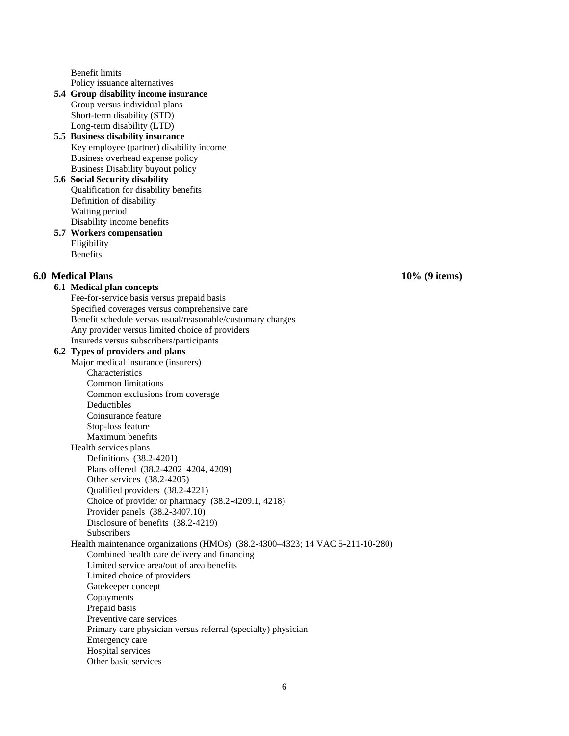Benefit limits Policy issuance alternatives

**5.4 Group disability income insurance**  Group versus individual plans Short-term disability (STD) Long-term disability (LTD)

## **5.5 Business disability insurance**  Key employee (partner) disability income Business overhead expense policy Business Disability buyout policy

## **5.6 Social Security disability**  Qualification for disability benefits Definition of disability Waiting period Disability income benefits

**5.7 Workers compensation**  Eligibility Benefits

# **6.0 Medical Plans 10% (9 items)**

## **6.1 Medical plan concepts**

Fee-for-service basis versus prepaid basis Specified coverages versus comprehensive care Benefit schedule versus usual/reasonable/customary charges Any provider versus limited choice of providers Insureds versus subscribers/participants

## **6.2 Types of providers and plans**

Major medical insurance (insurers) **Characteristics** Common limitations Common exclusions from coverage Deductibles Coinsurance feature Stop-loss feature Maximum benefits Health services plans Definitions (38.2-4201) Plans offered (38.2-4202–4204, 4209) Other services (38.2-4205) Qualified providers (38.2-4221) Choice of provider or pharmacy (38.2-4209.1, 4218) Provider panels (38.2-3407.10) Disclosure of benefits (38.2-4219) **Subscribers** Health maintenance organizations (HMOs) (38.2-4300–4323; 14 VAC 5-211-10-280) Combined health care delivery and financing Limited service area/out of area benefits Limited choice of providers Gatekeeper concept Copayments Prepaid basis Preventive care services Primary care physician versus referral (specialty) physician Emergency care Hospital services Other basic services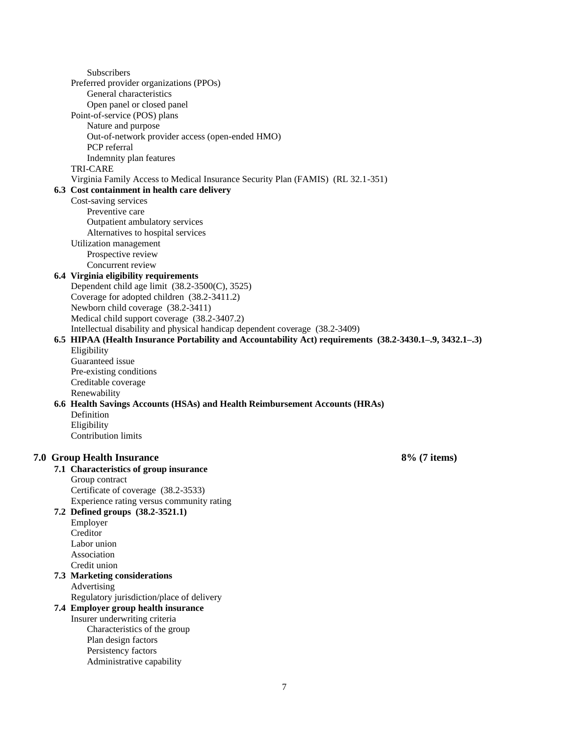Subscribers Preferred provider organizations (PPOs) General characteristics Open panel or closed panel Point-of-service (POS) plans Nature and purpose Out-of-network provider access (open-ended HMO) PCP referral Indemnity plan features TRI-CARE Virginia Family Access to Medical Insurance Security Plan (FAMIS) (RL 32.1-351) **6.3 Cost containment in health care delivery**  Cost-saving services Preventive care Outpatient ambulatory services Alternatives to hospital services Utilization management Prospective review Concurrent review **6.4 Virginia eligibility requirements**  Dependent child age limit (38.2-3500(C), 3525) Coverage for adopted children (38.2-3411.2) Newborn child coverage (38.2-3411) Medical child support coverage (38.2-3407.2) Intellectual disability and physical handicap dependent coverage (38.2-3409) **6.5 HIPAA (Health Insurance Portability and Accountability Act) requirements (38.2-3430.1–.9, 3432.1–.3)** Eligibility Guaranteed issue Pre-existing conditions Creditable coverage Renewability **6.6 Health Savings Accounts (HSAs) and Health Reimbursement Accounts (HRAs)**  Definition Eligibility Contribution limits **7.0 Group Health Insurance 8% (7 items) 7.1 Characteristics of group insurance**  Group contract Certificate of coverage (38.2-3533) Experience rating versus community rating **7.2 Defined groups (38.2-3521.1)**  Employer Creditor Labor union Association Credit union **7.3 Marketing considerations**  Advertising Regulatory jurisdiction/place of delivery **7.4 Employer group health insurance**  Insurer underwriting criteria Characteristics of the group Plan design factors Persistency factors Administrative capability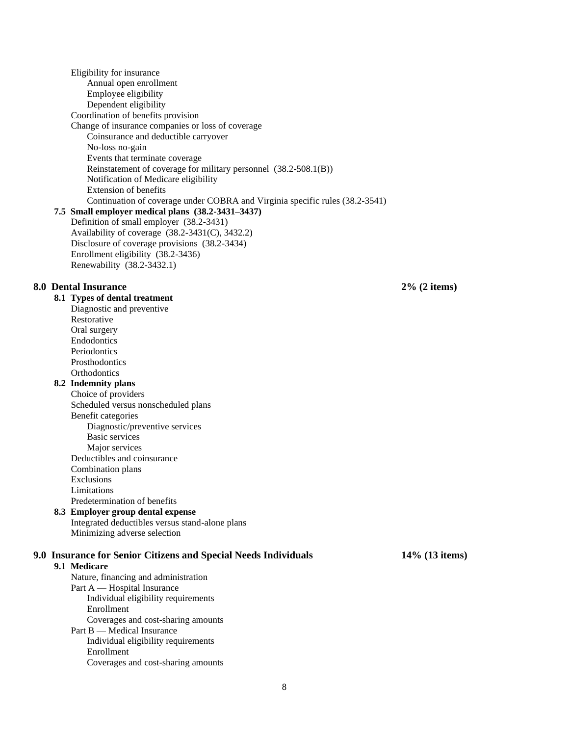Eligibility for insurance Annual open enrollment Employee eligibility Dependent eligibility Coordination of benefits provision Change of insurance companies or loss of coverage Coinsurance and deductible carryover No-loss no-gain Events that terminate coverage Reinstatement of coverage for military personnel (38.2-508.1(B)) Notification of Medicare eligibility Extension of benefits Continuation of coverage under COBRA and Virginia specific rules (38.2-3541) **7.5 Small employer medical plans (38.2-3431–3437)** Definition of small employer (38.2-3431) Availability of coverage (38.2-3431(C), 3432.2) Disclosure of coverage provisions (38.2-3434) Enrollment eligibility (38.2-3436) Renewability (38.2-3432.1) **8.0 Dental Insurance 2% (2 items) 8.1 Types of dental treatment**  Diagnostic and preventive Restorative Oral surgery Endodontics Periodontics Prosthodontics **Orthodontics 8.2 Indemnity plans**  Choice of providers Scheduled versus nonscheduled plans Benefit categories Diagnostic/preventive services Basic services Major services Deductibles and coinsurance Combination plans Exclusions Limitations Predetermination of benefits **8.3 Employer group dental expense**  Integrated deductibles versus stand-alone plans Minimizing adverse selection **9.0 Insurance for Senior Citizens and Special Needs Individuals 14% (13 items) 9.1 Medicare**  Nature, financing and administration Part A — Hospital Insurance Individual eligibility requirements Enrollment Coverages and cost-sharing amounts Part B — Medical Insurance Individual eligibility requirements Enrollment Coverages and cost-sharing amounts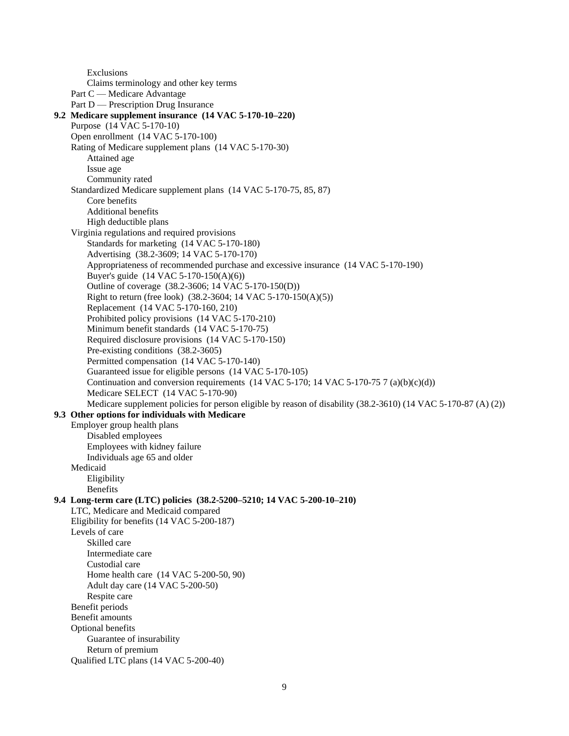Exclusions Claims terminology and other key terms Part C — Medicare Advantage Part D — Prescription Drug Insurance **9.2 Medicare supplement insurance (14 VAC 5-170-10–220)** Purpose (14 VAC 5-170-10) Open enrollment (14 VAC 5-170-100) Rating of Medicare supplement plans (14 VAC 5-170-30) Attained age Issue age Community rated Standardized Medicare supplement plans (14 VAC 5-170-75, 85, 87) Core benefits Additional benefits High deductible plans Virginia regulations and required provisions Standards for marketing (14 VAC 5-170-180) Advertising (38.2-3609; 14 VAC 5-170-170) Appropriateness of recommended purchase and excessive insurance (14 VAC 5-170-190) Buyer's guide (14 VAC 5-170-150(A)(6)) Outline of coverage (38.2-3606; 14 VAC 5-170-150(D)) Right to return (free look) (38.2-3604; 14 VAC 5-170-150(A)(5)) Replacement (14 VAC 5-170-160, 210) Prohibited policy provisions (14 VAC 5-170-210) Minimum benefit standards (14 VAC 5-170-75) Required disclosure provisions (14 VAC 5-170-150) Pre-existing conditions (38.2-3605) Permitted compensation (14 VAC 5-170-140) Guaranteed issue for eligible persons (14 VAC 5-170-105) Continuation and conversion requirements  $(14 \text{ VAC } 5-170; 14 \text{ VAC } 5-170-75 \text{ 7 (a)(b)(c)(d))}$ Medicare SELECT (14 VAC 5-170-90) Medicare supplement policies for person eligible by reason of disability (38.2-3610) (14 VAC 5-170-87 (A) (2)) **9.3 Other options for individuals with Medicare**  Employer group health plans Disabled employees Employees with kidney failure Individuals age 65 and older Medicaid Eligibility Benefits **9.4 Long-term care (LTC) policies (38.2-5200–5210; 14 VAC 5-200-10–210)** LTC, Medicare and Medicaid compared Eligibility for benefits (14 VAC 5-200-187) Levels of care Skilled care Intermediate care Custodial care Home health care (14 VAC 5-200-50, 90) Adult day care (14 VAC 5-200-50) Respite care Benefit periods Benefit amounts Optional benefits Guarantee of insurability Return of premium Qualified LTC plans (14 VAC 5-200-40)